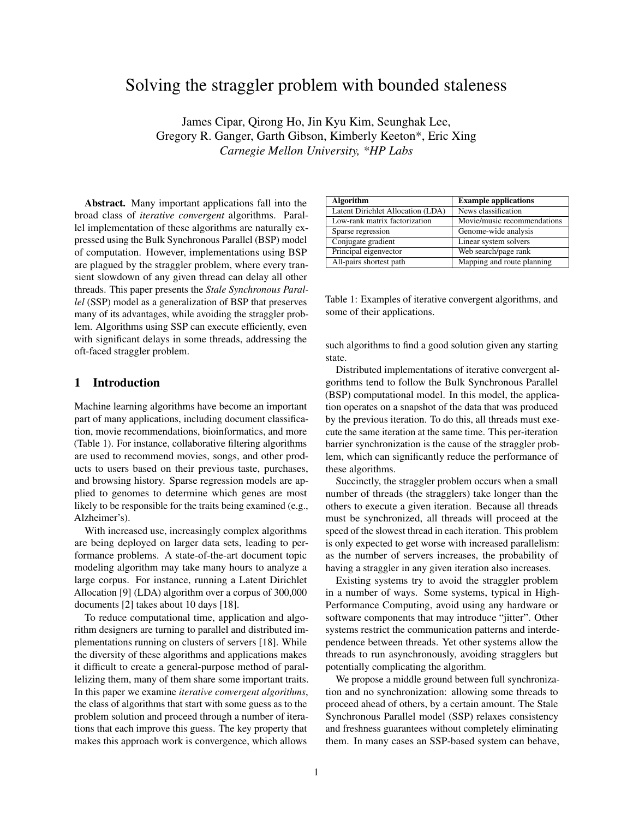# Solving the straggler problem with bounded staleness

James Cipar, Qirong Ho, Jin Kyu Kim, Seunghak Lee, Gregory R. Ganger, Garth Gibson, Kimberly Keeton\*, Eric Xing *Carnegie Mellon University, \*HP Labs*

Abstract. Many important applications fall into the broad class of *iterative convergent* algorithms. Parallel implementation of these algorithms are naturally expressed using the Bulk Synchronous Parallel (BSP) model of computation. However, implementations using BSP are plagued by the straggler problem, where every transient slowdown of any given thread can delay all other threads. This paper presents the *Stale Synchronous Parallel* (SSP) model as a generalization of BSP that preserves many of its advantages, while avoiding the straggler problem. Algorithms using SSP can execute efficiently, even with significant delays in some threads, addressing the oft-faced straggler problem.

# 1 Introduction

Machine learning algorithms have become an important part of many applications, including document classification, movie recommendations, bioinformatics, and more (Table 1). For instance, collaborative filtering algorithms are used to recommend movies, songs, and other products to users based on their previous taste, purchases, and browsing history. Sparse regression models are applied to genomes to determine which genes are most likely to be responsible for the traits being examined (e.g., Alzheimer's).

With increased use, increasingly complex algorithms are being deployed on larger data sets, leading to performance problems. A state-of-the-art document topic modeling algorithm may take many hours to analyze a large corpus. For instance, running a Latent Dirichlet Allocation [9] (LDA) algorithm over a corpus of 300,000 documents [2] takes about 10 days [18].

To reduce computational time, application and algorithm designers are turning to parallel and distributed implementations running on clusters of servers [18]. While the diversity of these algorithms and applications makes it difficult to create a general-purpose method of parallelizing them, many of them share some important traits. In this paper we examine *iterative convergent algorithms*, the class of algorithms that start with some guess as to the problem solution and proceed through a number of iterations that each improve this guess. The key property that makes this approach work is convergence, which allows

| <b>Algorithm</b>                  | <b>Example applications</b> |
|-----------------------------------|-----------------------------|
| Latent Dirichlet Allocation (LDA) | News classification         |
| Low-rank matrix factorization     | Movie/music recommendations |
| Sparse regression                 | Genome-wide analysis        |
| Conjugate gradient                | Linear system solvers       |
| Principal eigenvector             | Web search/page rank        |
| All-pairs shortest path           | Mapping and route planning  |

Table 1: Examples of iterative convergent algorithms, and some of their applications.

such algorithms to find a good solution given any starting state.

Distributed implementations of iterative convergent algorithms tend to follow the Bulk Synchronous Parallel (BSP) computational model. In this model, the application operates on a snapshot of the data that was produced by the previous iteration. To do this, all threads must execute the same iteration at the same time. This per-iteration barrier synchronization is the cause of the straggler problem, which can significantly reduce the performance of these algorithms.

Succinctly, the straggler problem occurs when a small number of threads (the stragglers) take longer than the others to execute a given iteration. Because all threads must be synchronized, all threads will proceed at the speed of the slowest thread in each iteration. This problem is only expected to get worse with increased parallelism: as the number of servers increases, the probability of having a straggler in any given iteration also increases.

Existing systems try to avoid the straggler problem in a number of ways. Some systems, typical in High-Performance Computing, avoid using any hardware or software components that may introduce "jitter". Other systems restrict the communication patterns and interdependence between threads. Yet other systems allow the threads to run asynchronously, avoiding stragglers but potentially complicating the algorithm.

We propose a middle ground between full synchronization and no synchronization: allowing some threads to proceed ahead of others, by a certain amount. The Stale Synchronous Parallel model (SSP) relaxes consistency and freshness guarantees without completely eliminating them. In many cases an SSP-based system can behave,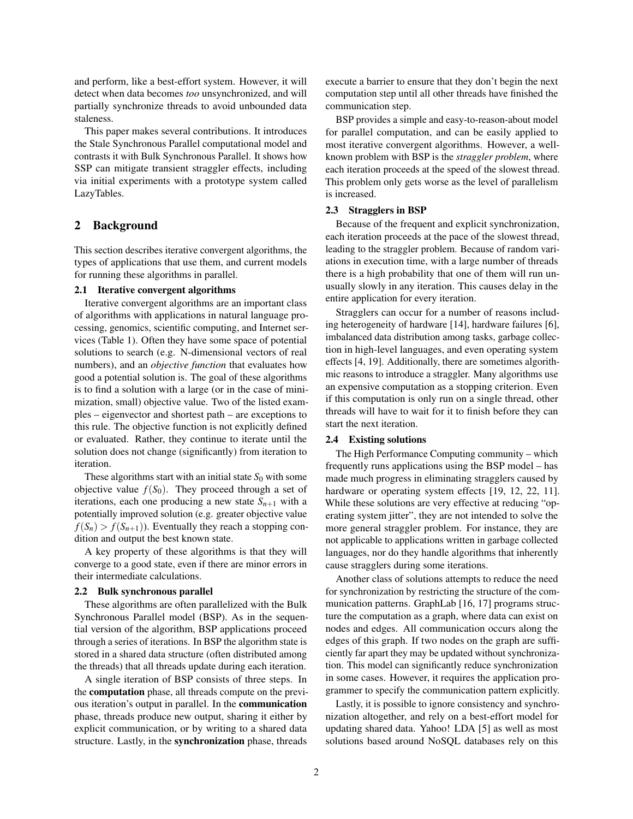and perform, like a best-effort system. However, it will detect when data becomes *too* unsynchronized, and will partially synchronize threads to avoid unbounded data staleness.

This paper makes several contributions. It introduces the Stale Synchronous Parallel computational model and contrasts it with Bulk Synchronous Parallel. It shows how SSP can mitigate transient straggler effects, including via initial experiments with a prototype system called LazyTables.

## 2 Background

This section describes iterative convergent algorithms, the types of applications that use them, and current models for running these algorithms in parallel.

### 2.1 Iterative convergent algorithms

Iterative convergent algorithms are an important class of algorithms with applications in natural language processing, genomics, scientific computing, and Internet services (Table 1). Often they have some space of potential solutions to search (e.g. N-dimensional vectors of real numbers), and an *objective function* that evaluates how good a potential solution is. The goal of these algorithms is to find a solution with a large (or in the case of minimization, small) objective value. Two of the listed examples – eigenvector and shortest path – are exceptions to this rule. The objective function is not explicitly defined or evaluated. Rather, they continue to iterate until the solution does not change (significantly) from iteration to iteration.

These algorithms start with an initial state  $S_0$  with some objective value  $f(S_0)$ . They proceed through a set of iterations, each one producing a new state  $S_{n+1}$  with a potentially improved solution (e.g. greater objective value  $f(S_n) > f(S_{n+1})$ ). Eventually they reach a stopping condition and output the best known state.

A key property of these algorithms is that they will converge to a good state, even if there are minor errors in their intermediate calculations.

#### 2.2 Bulk synchronous parallel

These algorithms are often parallelized with the Bulk Synchronous Parallel model (BSP). As in the sequential version of the algorithm, BSP applications proceed through a series of iterations. In BSP the algorithm state is stored in a shared data structure (often distributed among the threads) that all threads update during each iteration.

A single iteration of BSP consists of three steps. In the computation phase, all threads compute on the previous iteration's output in parallel. In the communication phase, threads produce new output, sharing it either by explicit communication, or by writing to a shared data structure. Lastly, in the synchronization phase, threads execute a barrier to ensure that they don't begin the next computation step until all other threads have finished the communication step.

BSP provides a simple and easy-to-reason-about model for parallel computation, and can be easily applied to most iterative convergent algorithms. However, a wellknown problem with BSP is the *straggler problem*, where each iteration proceeds at the speed of the slowest thread. This problem only gets worse as the level of parallelism is increased.

### 2.3 Stragglers in BSP

Because of the frequent and explicit synchronization, each iteration proceeds at the pace of the slowest thread, leading to the straggler problem. Because of random variations in execution time, with a large number of threads there is a high probability that one of them will run unusually slowly in any iteration. This causes delay in the entire application for every iteration.

Stragglers can occur for a number of reasons including heterogeneity of hardware [14], hardware failures [6], imbalanced data distribution among tasks, garbage collection in high-level languages, and even operating system effects [4, 19]. Additionally, there are sometimes algorithmic reasons to introduce a straggler. Many algorithms use an expensive computation as a stopping criterion. Even if this computation is only run on a single thread, other threads will have to wait for it to finish before they can start the next iteration.

#### 2.4 Existing solutions

The High Performance Computing community – which frequently runs applications using the BSP model – has made much progress in eliminating stragglers caused by hardware or operating system effects [19, 12, 22, 11]. While these solutions are very effective at reducing "operating system jitter", they are not intended to solve the more general straggler problem. For instance, they are not applicable to applications written in garbage collected languages, nor do they handle algorithms that inherently cause stragglers during some iterations.

Another class of solutions attempts to reduce the need for synchronization by restricting the structure of the communication patterns. GraphLab [16, 17] programs structure the computation as a graph, where data can exist on nodes and edges. All communication occurs along the edges of this graph. If two nodes on the graph are sufficiently far apart they may be updated without synchronization. This model can significantly reduce synchronization in some cases. However, it requires the application programmer to specify the communication pattern explicitly.

Lastly, it is possible to ignore consistency and synchronization altogether, and rely on a best-effort model for updating shared data. Yahoo! LDA [5] as well as most solutions based around NoSQL databases rely on this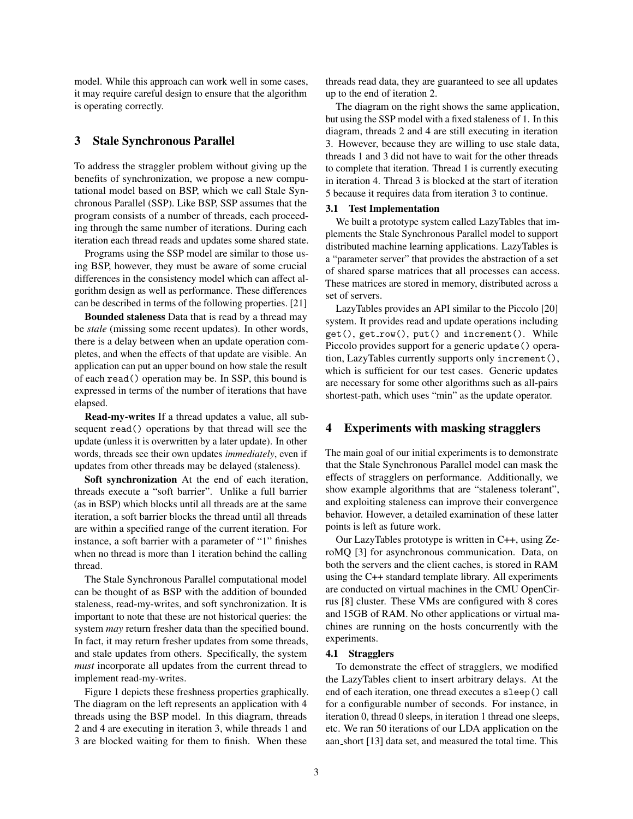model. While this approach can work well in some cases, it may require careful design to ensure that the algorithm is operating correctly.

## 3 Stale Synchronous Parallel

To address the straggler problem without giving up the benefits of synchronization, we propose a new computational model based on BSP, which we call Stale Synchronous Parallel (SSP). Like BSP, SSP assumes that the program consists of a number of threads, each proceeding through the same number of iterations. During each iteration each thread reads and updates some shared state.

Programs using the SSP model are similar to those using BSP, however, they must be aware of some crucial differences in the consistency model which can affect algorithm design as well as performance. These differences can be described in terms of the following properties. [21]

Bounded staleness Data that is read by a thread may be *stale* (missing some recent updates). In other words, there is a delay between when an update operation completes, and when the effects of that update are visible. An application can put an upper bound on how stale the result of each read() operation may be. In SSP, this bound is expressed in terms of the number of iterations that have elapsed.

Read-my-writes If a thread updates a value, all subsequent read() operations by that thread will see the update (unless it is overwritten by a later update). In other words, threads see their own updates *immediately*, even if updates from other threads may be delayed (staleness).

Soft synchronization At the end of each iteration, threads execute a "soft barrier". Unlike a full barrier (as in BSP) which blocks until all threads are at the same iteration, a soft barrier blocks the thread until all threads are within a specified range of the current iteration. For instance, a soft barrier with a parameter of "1" finishes when no thread is more than 1 iteration behind the calling thread.

The Stale Synchronous Parallel computational model can be thought of as BSP with the addition of bounded staleness, read-my-writes, and soft synchronization. It is important to note that these are not historical queries: the system *may* return fresher data than the specified bound. In fact, it may return fresher updates from some threads, and stale updates from others. Specifically, the system *must* incorporate all updates from the current thread to implement read-my-writes.

Figure 1 depicts these freshness properties graphically. The diagram on the left represents an application with 4 threads using the BSP model. In this diagram, threads 2 and 4 are executing in iteration 3, while threads 1 and 3 are blocked waiting for them to finish. When these

threads read data, they are guaranteed to see all updates up to the end of iteration 2.

The diagram on the right shows the same application, but using the SSP model with a fixed staleness of 1. In this diagram, threads 2 and 4 are still executing in iteration 3. However, because they are willing to use stale data, threads 1 and 3 did not have to wait for the other threads to complete that iteration. Thread 1 is currently executing in iteration 4. Thread 3 is blocked at the start of iteration 5 because it requires data from iteration 3 to continue.

#### 3.1 Test Implementation

We built a prototype system called LazyTables that implements the Stale Synchronous Parallel model to support distributed machine learning applications. LazyTables is a "parameter server" that provides the abstraction of a set of shared sparse matrices that all processes can access. These matrices are stored in memory, distributed across a set of servers.

LazyTables provides an API similar to the Piccolo [20] system. It provides read and update operations including get(), get row(), put() and increment(). While Piccolo provides support for a generic update() operation, LazyTables currently supports only increment(), which is sufficient for our test cases. Generic updates are necessary for some other algorithms such as all-pairs shortest-path, which uses "min" as the update operator.

### 4 Experiments with masking stragglers

The main goal of our initial experiments is to demonstrate that the Stale Synchronous Parallel model can mask the effects of stragglers on performance. Additionally, we show example algorithms that are "staleness tolerant", and exploiting staleness can improve their convergence behavior. However, a detailed examination of these latter points is left as future work.

Our LazyTables prototype is written in C++, using ZeroMQ [3] for asynchronous communication. Data, on both the servers and the client caches, is stored in RAM using the C++ standard template library. All experiments are conducted on virtual machines in the CMU OpenCirrus [8] cluster. These VMs are configured with 8 cores and 15GB of RAM. No other applications or virtual machines are running on the hosts concurrently with the experiments.

#### 4.1 Stragglers

To demonstrate the effect of stragglers, we modified the LazyTables client to insert arbitrary delays. At the end of each iteration, one thread executes a sleep() call for a configurable number of seconds. For instance, in iteration 0, thread 0 sleeps, in iteration 1 thread one sleeps, etc. We ran 50 iterations of our LDA application on the aan short [13] data set, and measured the total time. This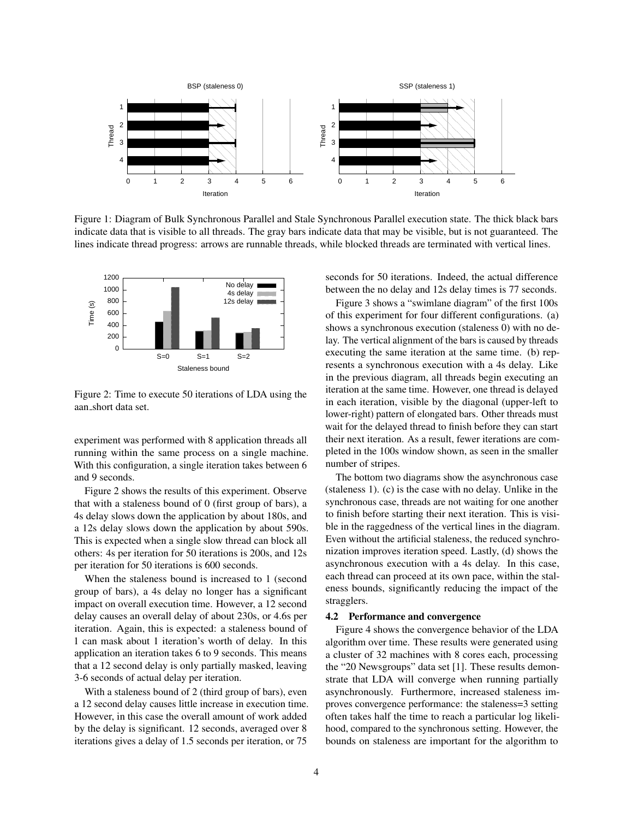

Figure 1: Diagram of Bulk Synchronous Parallel and Stale Synchronous Parallel execution state. The thick black bars indicate data that is visible to all threads. The gray bars indicate data that may be visible, but is not guaranteed. The lines indicate thread progress: arrows are runnable threads, while blocked threads are terminated with vertical lines.



Figure 2: Time to execute 50 iterations of LDA using the aan short data set.

experiment was performed with 8 application threads all running within the same process on a single machine. With this configuration, a single iteration takes between 6 and 9 seconds.

Figure 2 shows the results of this experiment. Observe that with a staleness bound of 0 (first group of bars), a 4s delay slows down the application by about 180s, and a 12s delay slows down the application by about 590s. This is expected when a single slow thread can block all others: 4s per iteration for 50 iterations is 200s, and 12s per iteration for 50 iterations is 600 seconds.

When the staleness bound is increased to 1 (second group of bars), a 4s delay no longer has a significant impact on overall execution time. However, a 12 second delay causes an overall delay of about 230s, or 4.6s per iteration. Again, this is expected: a staleness bound of 1 can mask about 1 iteration's worth of delay. In this application an iteration takes 6 to 9 seconds. This means that a 12 second delay is only partially masked, leaving 3-6 seconds of actual delay per iteration.

With a staleness bound of 2 (third group of bars), even a 12 second delay causes little increase in execution time. However, in this case the overall amount of work added by the delay is significant. 12 seconds, averaged over 8 iterations gives a delay of 1.5 seconds per iteration, or 75

seconds for 50 iterations. Indeed, the actual difference between the no delay and 12s delay times is 77 seconds.

Figure 3 shows a "swimlane diagram" of the first 100s of this experiment for four different configurations. (a) shows a synchronous execution (staleness 0) with no delay. The vertical alignment of the bars is caused by threads executing the same iteration at the same time. (b) represents a synchronous execution with a 4s delay. Like in the previous diagram, all threads begin executing an iteration at the same time. However, one thread is delayed in each iteration, visible by the diagonal (upper-left to lower-right) pattern of elongated bars. Other threads must wait for the delayed thread to finish before they can start their next iteration. As a result, fewer iterations are completed in the 100s window shown, as seen in the smaller number of stripes.

The bottom two diagrams show the asynchronous case (staleness 1). (c) is the case with no delay. Unlike in the synchronous case, threads are not waiting for one another to finish before starting their next iteration. This is visible in the raggedness of the vertical lines in the diagram. Even without the artificial staleness, the reduced synchronization improves iteration speed. Lastly, (d) shows the asynchronous execution with a 4s delay. In this case, each thread can proceed at its own pace, within the staleness bounds, significantly reducing the impact of the stragglers.

#### 4.2 Performance and convergence

Figure 4 shows the convergence behavior of the LDA algorithm over time. These results were generated using a cluster of 32 machines with 8 cores each, processing the "20 Newsgroups" data set [1]. These results demonstrate that LDA will converge when running partially asynchronously. Furthermore, increased staleness improves convergence performance: the staleness=3 setting often takes half the time to reach a particular log likelihood, compared to the synchronous setting. However, the bounds on staleness are important for the algorithm to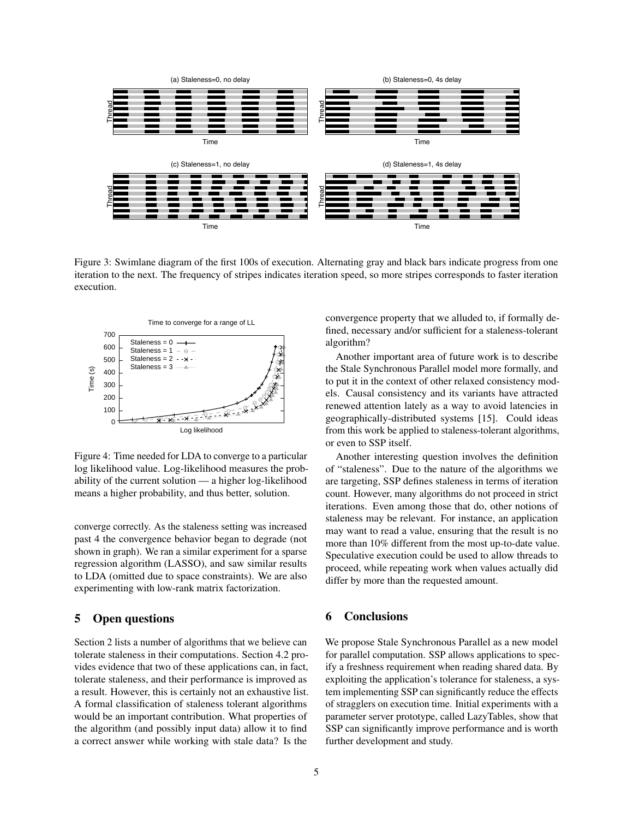

Figure 3: Swimlane diagram of the first 100s of execution. Alternating gray and black bars indicate progress from one iteration to the next. The frequency of stripes indicates iteration speed, so more stripes corresponds to faster iteration execution.



Figure 4: Time needed for LDA to converge to a particular log likelihood value. Log-likelihood measures the probability of the current solution — a higher log-likelihood means a higher probability, and thus better, solution.

converge correctly. As the staleness setting was increased past 4 the convergence behavior began to degrade (not shown in graph). We ran a similar experiment for a sparse regression algorithm (LASSO), and saw similar results to LDA (omitted due to space constraints). We are also experimenting with low-rank matrix factorization.

### 5 Open questions

Section 2 lists a number of algorithms that we believe can tolerate staleness in their computations. Section 4.2 provides evidence that two of these applications can, in fact, tolerate staleness, and their performance is improved as a result. However, this is certainly not an exhaustive list. A formal classification of staleness tolerant algorithms would be an important contribution. What properties of the algorithm (and possibly input data) allow it to find a correct answer while working with stale data? Is the

convergence property that we alluded to, if formally defined, necessary and/or sufficient for a staleness-tolerant algorithm?

Another important area of future work is to describe the Stale Synchronous Parallel model more formally, and to put it in the context of other relaxed consistency models. Causal consistency and its variants have attracted renewed attention lately as a way to avoid latencies in geographically-distributed systems [15]. Could ideas from this work be applied to staleness-tolerant algorithms, or even to SSP itself.

Another interesting question involves the definition of "staleness". Due to the nature of the algorithms we are targeting, SSP defines staleness in terms of iteration count. However, many algorithms do not proceed in strict iterations. Even among those that do, other notions of staleness may be relevant. For instance, an application may want to read a value, ensuring that the result is no more than 10% different from the most up-to-date value. Speculative execution could be used to allow threads to proceed, while repeating work when values actually did differ by more than the requested amount.

### 6 Conclusions

We propose Stale Synchronous Parallel as a new model for parallel computation. SSP allows applications to specify a freshness requirement when reading shared data. By exploiting the application's tolerance for staleness, a system implementing SSP can significantly reduce the effects of stragglers on execution time. Initial experiments with a parameter server prototype, called LazyTables, show that SSP can significantly improve performance and is worth further development and study.